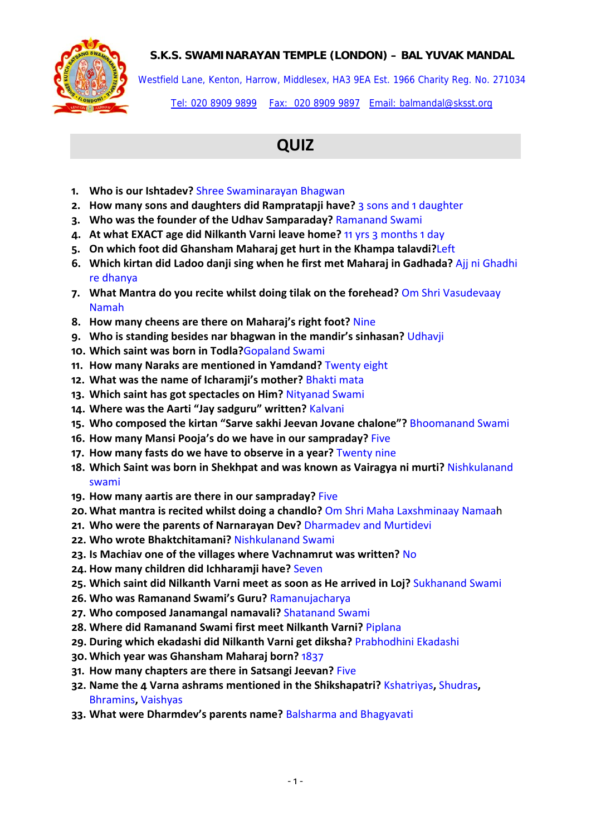## **S.K.S. SWAMINARAYAN TEMPLE (LONDON) – BAL YUVAK MANDAL**



Westfield Lane, Kenton, Harrow, Middlesex, HA3 9EA Est. 1966 Charity Reg. No. 271034 Tel: 020 8909 9899 Fax: 020 8909 9897 Email: balmandal@sksst.org

## **QUIZ**

- **1. Who is our Ishtadev?** Shree Swaminarayan Bhagwan
- **2. How many sons and daughters did Rampratapji have?** 3 sons and 1 daughter
- **3. Who was the founder of the Udhav Samparaday?** Ramanand Swami
- **4. At what EXACT age did Nilkanth Varni leave home?** 11 yrs 3 months 1 day
- **5. On which foot did Ghansham Maharaj get hurt in the Khampa talavdi?**Left
- **6. Which kirtan did Ladoo danji sing when he first met Maharaj in Gadhada?** Ajj ni Ghadhi re dhanya
- **7. What Mantra do you recite whilst doing tilak on the forehead?** Om Shri Vasudevaay Namah
- **8. How many cheens are there on Maharaj's right foot?** Nine
- **9. Who is standing besides nar bhagwan in the mandir's sinhasan?** Udhavji
- **10. Which saint was born in Todla?**Gopaland Swami
- **11. How many Naraks are mentioned in Yamdand?** Twenty eight
- **12. What was the name of Icharamji's mother?** Bhakti mata
- **13. Which saint has got spectacles on Him?** Nityanad Swami
- **14. Where was the Aarti "Jay sadguru" written?** Kalvani
- **15. Who composed the kirtan "Sarve sakhi Jeevan Jovane chalone"?** Bhoomanand Swami
- **16. How many Mansi Pooja's do we have in our sampraday?** Five
- **17. How many fasts do we have to observe in a year?** Twenty nine
- **18. Which Saint was born in Shekhpat and was known as Vairagya ni murti?** Nishkulanand swami
- **19. How many aartis are there in our sampraday?** Five
- **20. What mantra is recited whilst doing a chandlo?** Om Shri Maha Laxshminaay Namaah
- **21. Who were the parents of Narnarayan Dev?** Dharmadev and Murtidevi
- **22. Who wrote Bhaktchitamani?** Nishkulanand Swami
- **23. Is Machiav one of the villages where Vachnamrut was written?** No
- **24. How many children did Ichharamji have?** Seven
- **25. Which saint did Nilkanth Varni meet as soon as He arrived in Loj?** Sukhanand Swami
- **26. Who was Ramanand Swami's Guru?** Ramanujacharya
- **27. Who composed Janamangal namavali?** Shatanand Swami
- **28. Where did Ramanand Swami first meet Nilkanth Varni?** Piplana
- **29. During which ekadashi did Nilkanth Varni get diksha?** Prabhodhini Ekadashi
- **30. Which year was Ghansham Maharaj born?** 1837
- **31. How many chapters are there in Satsangi Jeevan?** Five
- **32. Name the 4 Varna ashrams mentioned in the Shikshapatri?** Kshatriyas**,** Shudras**,** Bhramins**,** Vaishyas
- **33. What were Dharmdev's parents name?** Balsharma and Bhagyavati